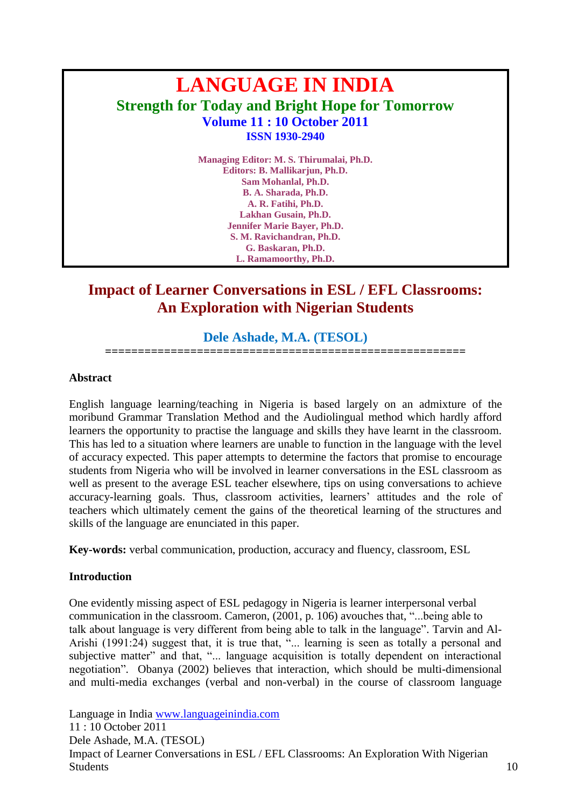# **LANGUAGE IN INDIA Strength for Today and Bright Hope for Tomorrow Volume 11 : 10 October 2011 ISSN 1930-2940**

**Managing Editor: M. S. Thirumalai, Ph.D. Editors: B. Mallikarjun, Ph.D. Sam Mohanlal, Ph.D. B. A. Sharada, Ph.D. A. R. Fatihi, Ph.D. Lakhan Gusain, Ph.D. Jennifer Marie Bayer, Ph.D. S. M. Ravichandran, Ph.D. G. Baskaran, Ph.D. L. Ramamoorthy, Ph.D.**

## **Impact of Learner Conversations in ESL / EFL Classrooms: An Exploration with Nigerian Students**

## **Dele Ashade, M.A. (TESOL)**

**=======================================================**

#### **Abstract**

English language learning/teaching in Nigeria is based largely on an admixture of the moribund Grammar Translation Method and the Audiolingual method which hardly afford learners the opportunity to practise the language and skills they have learnt in the classroom. This has led to a situation where learners are unable to function in the language with the level of accuracy expected. This paper attempts to determine the factors that promise to encourage students from Nigeria who will be involved in learner conversations in the ESL classroom as well as present to the average ESL teacher elsewhere, tips on using conversations to achieve accuracy-learning goals. Thus, classroom activities, learners' attitudes and the role of teachers which ultimately cement the gains of the theoretical learning of the structures and skills of the language are enunciated in this paper.

**Key-words:** verbal communication, production, accuracy and fluency, classroom, ESL

### **Introduction**

One evidently missing aspect of ESL pedagogy in Nigeria is learner interpersonal verbal communication in the classroom. Cameron, (2001, p. 106) avouches that, "...being able to talk about language is very different from being able to talk in the language". Tarvin and Al-Arishi (1991:24) suggest that, it is true that, "... learning is seen as totally a personal and subjective matter" and that, "... language acquisition is totally dependent on interactional negotiation". Obanya (2002) believes that interaction, which should be multi-dimensional and multi-media exchanges (verbal and non-verbal) in the course of classroom language

Language in India [www.languageinindia.com](http://www.languageinindia.com/) 11 : 10 October 2011 Dele Ashade, M.A. (TESOL) Impact of Learner Conversations in ESL / EFL Classrooms: An Exploration With Nigerian Students and the students of the students of the students of the students of the students of the students of the students of the students of the students of the students of the students of the students of the students of t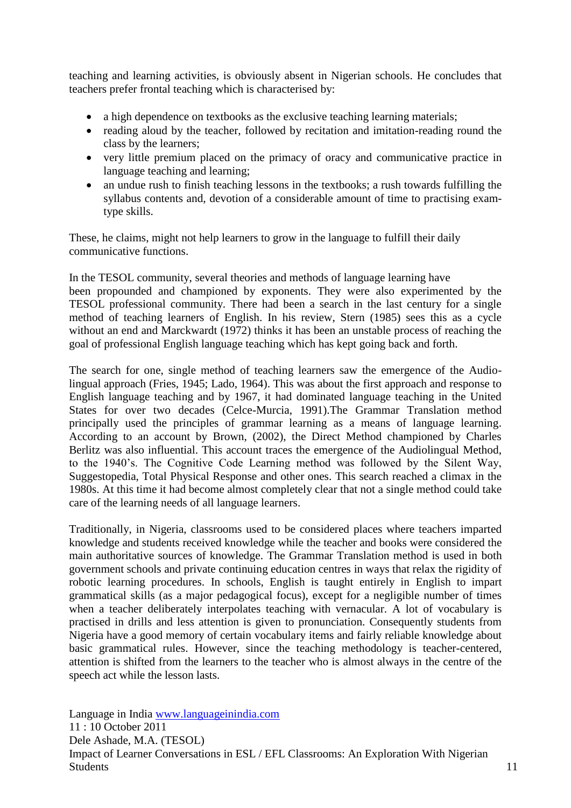teaching and learning activities, is obviously absent in Nigerian schools. He concludes that teachers prefer frontal teaching which is characterised by:

- a high dependence on textbooks as the exclusive teaching learning materials;
- reading aloud by the teacher, followed by recitation and imitation-reading round the class by the learners;
- very little premium placed on the primacy of oracy and communicative practice in language teaching and learning;
- an undue rush to finish teaching lessons in the textbooks; a rush towards fulfilling the syllabus contents and, devotion of a considerable amount of time to practising examtype skills.

These, he claims, might not help learners to grow in the language to fulfill their daily communicative functions.

In the TESOL community, several theories and methods of language learning have been propounded and championed by exponents. They were also experimented by the TESOL professional community. There had been a search in the last century for a single method of teaching learners of English. In his review, Stern (1985) sees this as a cycle without an end and Marckwardt (1972) thinks it has been an unstable process of reaching the goal of professional English language teaching which has kept going back and forth.

The search for one, single method of teaching learners saw the emergence of the Audiolingual approach (Fries, 1945; Lado, 1964). This was about the first approach and response to English language teaching and by 1967, it had dominated language teaching in the United States for over two decades (Celce-Murcia, 1991).The Grammar Translation method principally used the principles of grammar learning as a means of language learning. According to an account by Brown, (2002), the Direct Method championed by Charles Berlitz was also influential. This account traces the emergence of the Audiolingual Method, to the 1940"s. The Cognitive Code Learning method was followed by the Silent Way, Suggestopedia, Total Physical Response and other ones. This search reached a climax in the 1980s. At this time it had become almost completely clear that not a single method could take care of the learning needs of all language learners.

Traditionally, in Nigeria, classrooms used to be considered places where teachers imparted knowledge and students received knowledge while the teacher and books were considered the main authoritative sources of knowledge. The Grammar Translation method is used in both government schools and private continuing education centres in ways that relax the rigidity of robotic learning procedures. In schools, English is taught entirely in English to impart grammatical skills (as a major pedagogical focus), except for a negligible number of times when a teacher deliberately interpolates teaching with vernacular. A lot of vocabulary is practised in drills and less attention is given to pronunciation. Consequently students from Nigeria have a good memory of certain vocabulary items and fairly reliable knowledge about basic grammatical rules. However, since the teaching methodology is teacher-centered, attention is shifted from the learners to the teacher who is almost always in the centre of the speech act while the lesson lasts.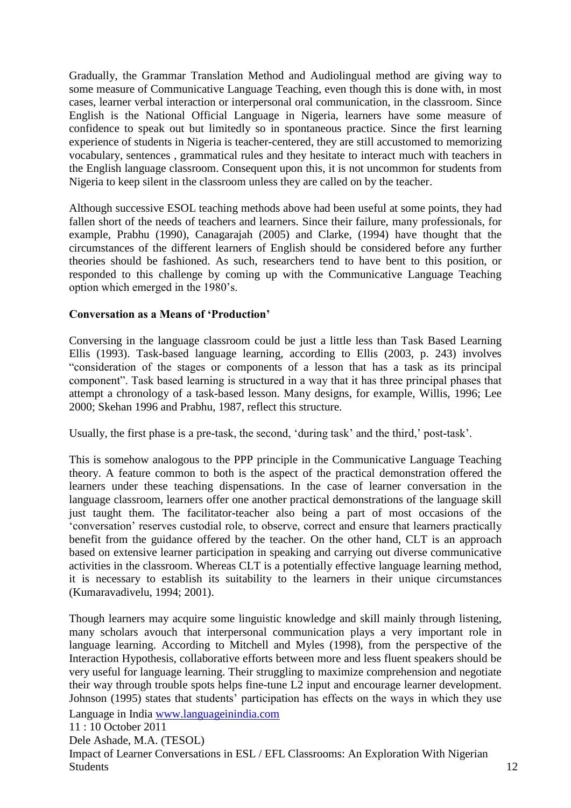Gradually, the Grammar Translation Method and Audiolingual method are giving way to some measure of Communicative Language Teaching, even though this is done with, in most cases, learner verbal interaction or interpersonal oral communication, in the classroom. Since English is the National Official Language in Nigeria, learners have some measure of confidence to speak out but limitedly so in spontaneous practice. Since the first learning experience of students in Nigeria is teacher-centered, they are still accustomed to memorizing vocabulary, sentences , grammatical rules and they hesitate to interact much with teachers in the English language classroom. Consequent upon this, it is not uncommon for students from Nigeria to keep silent in the classroom unless they are called on by the teacher.

Although successive ESOL teaching methods above had been useful at some points, they had fallen short of the needs of teachers and learners. Since their failure, many professionals, for example, Prabhu (1990), Canagarajah (2005) and Clarke, (1994) have thought that the circumstances of the different learners of English should be considered before any further theories should be fashioned. As such, researchers tend to have bent to this position, or responded to this challenge by coming up with the Communicative Language Teaching option which emerged in the 1980"s.

#### **Conversation as a Means of 'Production'**

Conversing in the language classroom could be just a little less than Task Based Learning Ellis (1993). Task-based language learning, according to Ellis (2003, p. 243) involves "consideration of the stages or components of a lesson that has a task as its principal component". Task based learning is structured in a way that it has three principal phases that attempt a chronology of a task-based lesson. Many designs, for example, Willis, 1996; Lee 2000; Skehan 1996 and Prabhu, 1987, reflect this structure.

Usually, the first phase is a pre-task, the second, 'during task' and the third,' post-task'.

This is somehow analogous to the PPP principle in the Communicative Language Teaching theory. A feature common to both is the aspect of the practical demonstration offered the learners under these teaching dispensations. In the case of learner conversation in the language classroom, learners offer one another practical demonstrations of the language skill just taught them. The facilitator-teacher also being a part of most occasions of the "conversation" reserves custodial role, to observe, correct and ensure that learners practically benefit from the guidance offered by the teacher. On the other hand, CLT is an approach based on extensive learner participation in speaking and carrying out diverse communicative activities in the classroom. Whereas CLT is a potentially effective language learning method, it is necessary to establish its suitability to the learners in their unique circumstances (Kumaravadivelu, 1994; 2001).

Though learners may acquire some linguistic knowledge and skill mainly through listening, many scholars avouch that interpersonal communication plays a very important role in language learning. According to Mitchell and Myles (1998), from the perspective of the Interaction Hypothesis, collaborative efforts between more and less fluent speakers should be very useful for language learning. Their struggling to maximize comprehension and negotiate their way through trouble spots helps fine-tune L2 input and encourage learner development. Johnson (1995) states that students" participation has effects on the ways in which they use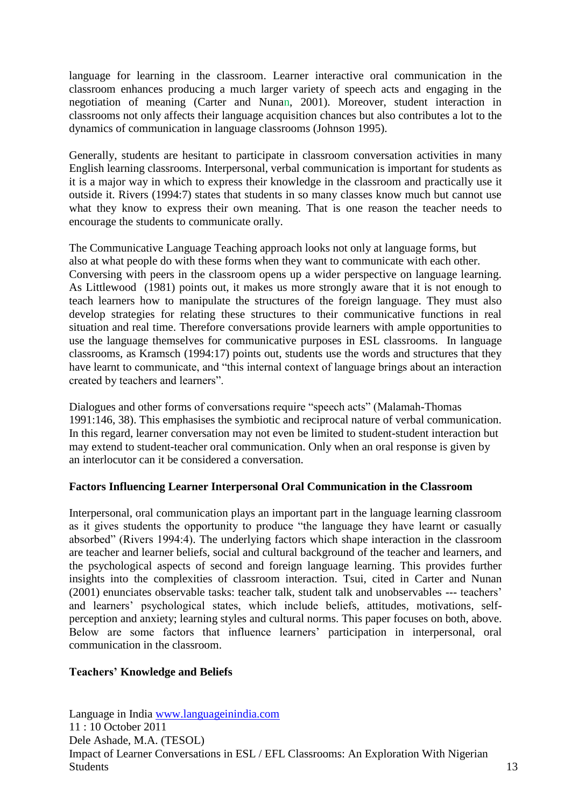language for learning in the classroom. Learner interactive oral communication in the classroom enhances producing a much larger variety of speech acts and engaging in the negotiation of meaning (Carter and Nunan, 2001). Moreover, student interaction in classrooms not only affects their language acquisition chances but also contributes a lot to the dynamics of communication in language classrooms (Johnson 1995).

Generally, students are hesitant to participate in classroom conversation activities in many English learning classrooms. Interpersonal, verbal communication is important for students as it is a major way in which to express their knowledge in the classroom and practically use it outside it. Rivers (1994:7) states that students in so many classes know much but cannot use what they know to express their own meaning. That is one reason the teacher needs to encourage the students to communicate orally.

The Communicative Language Teaching approach looks not only at language forms, but also at what people do with these forms when they want to communicate with each other. Conversing with peers in the classroom opens up a wider perspective on language learning. As Littlewood (1981) points out, it makes us more strongly aware that it is not enough to teach learners how to manipulate the structures of the foreign language. They must also develop strategies for relating these structures to their communicative functions in real situation and real time. Therefore conversations provide learners with ample opportunities to use the language themselves for communicative purposes in ESL classrooms. In language classrooms, as Kramsch (1994:17) points out, students use the words and structures that they have learnt to communicate, and "this internal context of language brings about an interaction created by teachers and learners".

Dialogues and other forms of conversations require "speech acts" (Malamah-Thomas 1991:146, 38). This emphasises the symbiotic and reciprocal nature of verbal communication. In this regard, learner conversation may not even be limited to student-student interaction but may extend to student-teacher oral communication. Only when an oral response is given by an interlocutor can it be considered a conversation.

### **Factors Influencing Learner Interpersonal Oral Communication in the Classroom**

Interpersonal, oral communication plays an important part in the language learning classroom as it gives students the opportunity to produce "the language they have learnt or casually absorbed" (Rivers 1994:4). The underlying factors which shape interaction in the classroom are teacher and learner beliefs, social and cultural background of the teacher and learners, and the psychological aspects of second and foreign language learning. This provides further insights into the complexities of classroom interaction. Tsui, cited in Carter and Nunan (2001) enunciates observable tasks: teacher talk, student talk and unobservables --- teachers" and learners" psychological states, which include beliefs, attitudes, motivations, selfperception and anxiety; learning styles and cultural norms. This paper focuses on both, above. Below are some factors that influence learners' participation in interpersonal, oral communication in the classroom.

### **Teachers' Knowledge and Beliefs**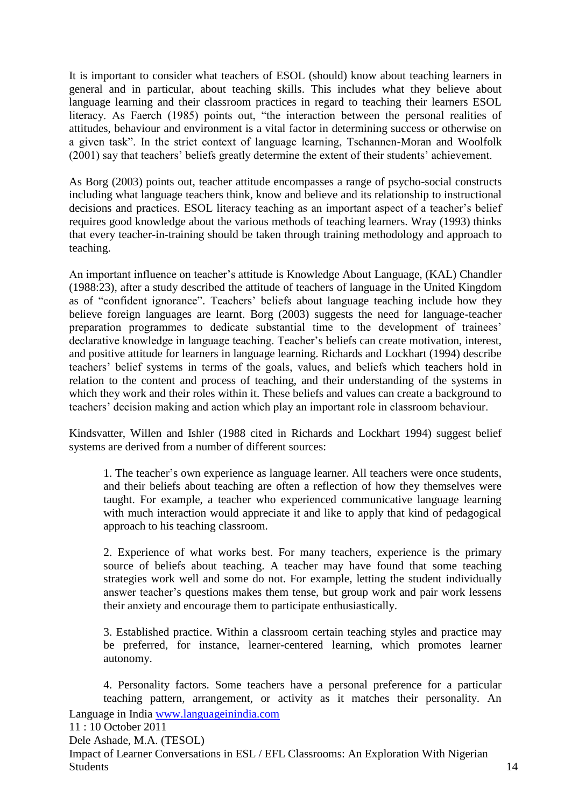It is important to consider what teachers of ESOL (should) know about teaching learners in general and in particular, about teaching skills. This includes what they believe about language learning and their classroom practices in regard to teaching their learners ESOL literacy. As Faerch (1985) points out, "the interaction between the personal realities of attitudes, behaviour and environment is a vital factor in determining success or otherwise on a given task". In the strict context of language learning, Tschannen-Moran and Woolfolk (2001) say that teachers" beliefs greatly determine the extent of their students" achievement.

As Borg (2003) points out, teacher attitude encompasses a range of psycho-social constructs including what language teachers think, know and believe and its relationship to instructional decisions and practices. ESOL literacy teaching as an important aspect of a teacher"s belief requires good knowledge about the various methods of teaching learners. Wray (1993) thinks that every teacher-in-training should be taken through training methodology and approach to teaching.

An important influence on teacher"s attitude is Knowledge About Language, (KAL) Chandler (1988:23), after a study described the attitude of teachers of language in the United Kingdom as of "confident ignorance". Teachers' beliefs about language teaching include how they believe foreign languages are learnt. Borg (2003) suggests the need for language-teacher preparation programmes to dedicate substantial time to the development of trainees" declarative knowledge in language teaching. Teacher's beliefs can create motivation, interest, and positive attitude for learners in language learning. Richards and Lockhart (1994) describe teachers" belief systems in terms of the goals, values, and beliefs which teachers hold in relation to the content and process of teaching, and their understanding of the systems in which they work and their roles within it. These beliefs and values can create a background to teachers" decision making and action which play an important role in classroom behaviour.

Kindsvatter, Willen and Ishler (1988 cited in Richards and Lockhart 1994) suggest belief systems are derived from a number of different sources:

1. The teacher"s own experience as language learner. All teachers were once students, and their beliefs about teaching are often a reflection of how they themselves were taught. For example, a teacher who experienced communicative language learning with much interaction would appreciate it and like to apply that kind of pedagogical approach to his teaching classroom.

2. Experience of what works best. For many teachers, experience is the primary source of beliefs about teaching. A teacher may have found that some teaching strategies work well and some do not. For example, letting the student individually answer teacher"s questions makes them tense, but group work and pair work lessens their anxiety and encourage them to participate enthusiastically.

3. Established practice. Within a classroom certain teaching styles and practice may be preferred, for instance, learner-centered learning, which promotes learner autonomy.

Language in India [www.languageinindia.com](http://www.languageinindia.com/) 4. Personality factors. Some teachers have a personal preference for a particular teaching pattern, arrangement, or activity as it matches their personality. An

11 : 10 October 2011 Dele Ashade, M.A. (TESOL) Impact of Learner Conversations in ESL / EFL Classrooms: An Exploration With Nigerian Students and the students of the students of the students of the students of the students of the students of the students of the students of the students of the students of the students of the students of the students of t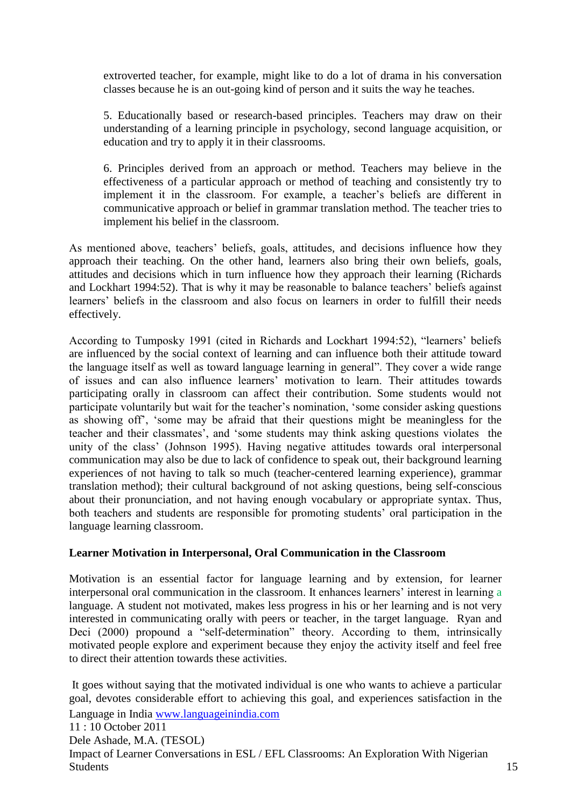extroverted teacher, for example, might like to do a lot of drama in his conversation classes because he is an out-going kind of person and it suits the way he teaches.

5. Educationally based or research-based principles. Teachers may draw on their understanding of a learning principle in psychology, second language acquisition, or education and try to apply it in their classrooms.

6. Principles derived from an approach or method. Teachers may believe in the effectiveness of a particular approach or method of teaching and consistently try to implement it in the classroom. For example, a teacher's beliefs are different in communicative approach or belief in grammar translation method. The teacher tries to implement his belief in the classroom.

As mentioned above, teachers' beliefs, goals, attitudes, and decisions influence how they approach their teaching. On the other hand, learners also bring their own beliefs, goals, attitudes and decisions which in turn influence how they approach their learning (Richards and Lockhart 1994:52). That is why it may be reasonable to balance teachers' beliefs against learners" beliefs in the classroom and also focus on learners in order to fulfill their needs effectively.

According to Tumposky 1991 (cited in Richards and Lockhart 1994:52), "learners" beliefs are influenced by the social context of learning and can influence both their attitude toward the language itself as well as toward language learning in general". They cover a wide range of issues and can also influence learners" motivation to learn. Their attitudes towards participating orally in classroom can affect their contribution. Some students would not participate voluntarily but wait for the teacher"s nomination, "some consider asking questions as showing off", "some may be afraid that their questions might be meaningless for the teacher and their classmates", and "some students may think asking questions violates the unity of the class" (Johnson 1995). Having negative attitudes towards oral interpersonal communication may also be due to lack of confidence to speak out, their background learning experiences of not having to talk so much (teacher-centered learning experience), grammar translation method); their cultural background of not asking questions, being self-conscious about their pronunciation, and not having enough vocabulary or appropriate syntax. Thus, both teachers and students are responsible for promoting students' oral participation in the language learning classroom.

### **Learner Motivation in Interpersonal, Oral Communication in the Classroom**

Motivation is an essential factor for language learning and by extension, for learner interpersonal oral communication in the classroom. It enhances learners' interest in learning a language. A student not motivated, makes less progress in his or her learning and is not very interested in communicating orally with peers or teacher, in the target language. Ryan and Deci (2000) propound a "self-determination" theory. According to them, intrinsically motivated people explore and experiment because they enjoy the activity itself and feel free to direct their attention towards these activities.

Language in India [www.languageinindia.com](http://www.languageinindia.com/) 11 : 10 October 2011 Dele Ashade, M.A. (TESOL) Impact of Learner Conversations in ESL / EFL Classrooms: An Exploration With Nigerian It goes without saying that the motivated individual is one who wants to achieve a particular goal, devotes considerable effort to achieving this goal, and experiences satisfaction in the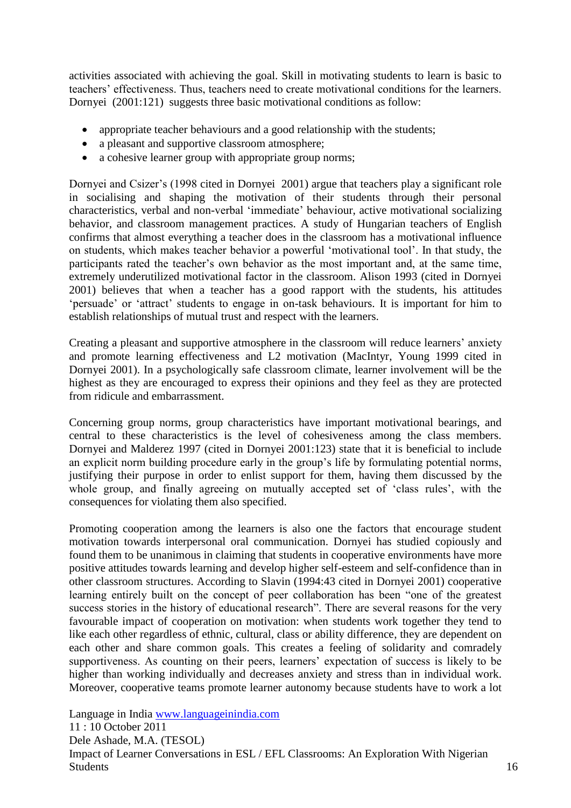activities associated with achieving the goal. Skill in motivating students to learn is basic to teachers" effectiveness. Thus, teachers need to create motivational conditions for the learners. Dornyei (2001:121) suggests three basic motivational conditions as follow:

- appropriate teacher behaviours and a good relationship with the students;
- a pleasant and supportive classroom atmosphere;
- a cohesive learner group with appropriate group norms;

Dornyei and Csizer's (1998 cited in Dornyei 2001) argue that teachers play a significant role in socialising and shaping the motivation of their students through their personal characteristics, verbal and non-verbal "immediate" behaviour, active motivational socializing behavior, and classroom management practices. A study of Hungarian teachers of English confirms that almost everything a teacher does in the classroom has a motivational influence on students, which makes teacher behavior a powerful "motivational tool". In that study, the participants rated the teacher"s own behavior as the most important and, at the same time, extremely underutilized motivational factor in the classroom. Alison 1993 (cited in Dornyei 2001) believes that when a teacher has a good rapport with the students, his attitudes "persuade" or "attract" students to engage in on-task behaviours. It is important for him to establish relationships of mutual trust and respect with the learners.

Creating a pleasant and supportive atmosphere in the classroom will reduce learners" anxiety and promote learning effectiveness and L2 motivation (MacIntyr, Young 1999 cited in Dornyei 2001). In a psychologically safe classroom climate, learner involvement will be the highest as they are encouraged to express their opinions and they feel as they are protected from ridicule and embarrassment.

Concerning group norms, group characteristics have important motivational bearings, and central to these characteristics is the level of cohesiveness among the class members. Dornyei and Malderez 1997 (cited in Dornyei 2001:123) state that it is beneficial to include an explicit norm building procedure early in the group's life by formulating potential norms, justifying their purpose in order to enlist support for them, having them discussed by the whole group, and finally agreeing on mutually accepted set of 'class rules', with the consequences for violating them also specified.

Promoting cooperation among the learners is also one the factors that encourage student motivation towards interpersonal oral communication. Dornyei has studied copiously and found them to be unanimous in claiming that students in cooperative environments have more positive attitudes towards learning and develop higher self-esteem and self-confidence than in other classroom structures. According to Slavin (1994:43 cited in Dornyei 2001) cooperative learning entirely built on the concept of peer collaboration has been "one of the greatest success stories in the history of educational research". There are several reasons for the very favourable impact of cooperation on motivation: when students work together they tend to like each other regardless of ethnic, cultural, class or ability difference, they are dependent on each other and share common goals. This creates a feeling of solidarity and comradely supportiveness. As counting on their peers, learners' expectation of success is likely to be higher than working individually and decreases anxiety and stress than in individual work. Moreover, cooperative teams promote learner autonomy because students have to work a lot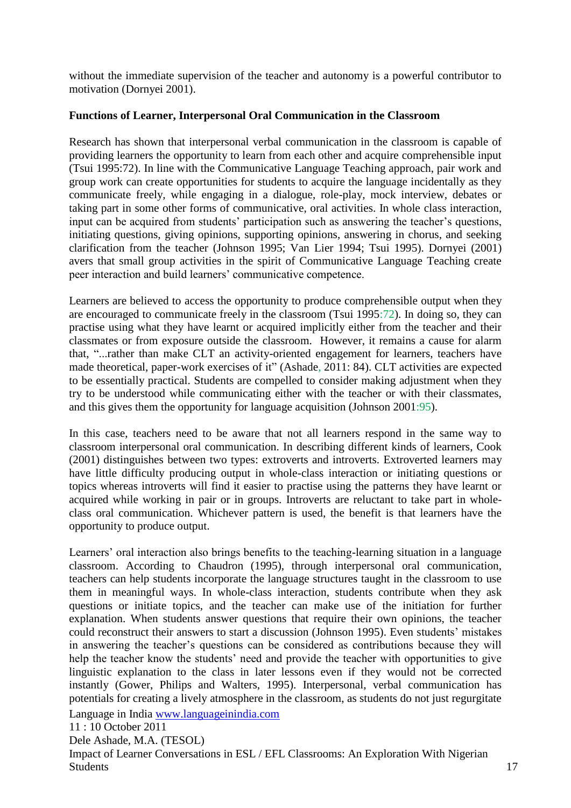without the immediate supervision of the teacher and autonomy is a powerful contributor to motivation (Dornyei 2001).

#### **Functions of Learner, Interpersonal Oral Communication in the Classroom**

Research has shown that interpersonal verbal communication in the classroom is capable of providing learners the opportunity to learn from each other and acquire comprehensible input (Tsui 1995:72). In line with the Communicative Language Teaching approach, pair work and group work can create opportunities for students to acquire the language incidentally as they communicate freely, while engaging in a dialogue, role-play, mock interview, debates or taking part in some other forms of communicative, oral activities. In whole class interaction, input can be acquired from students' participation such as answering the teacher's questions, initiating questions, giving opinions, supporting opinions, answering in chorus, and seeking clarification from the teacher (Johnson 1995; Van Lier 1994; Tsui 1995). Dornyei (2001) avers that small group activities in the spirit of Communicative Language Teaching create peer interaction and build learners" communicative competence.

Learners are believed to access the opportunity to produce comprehensible output when they are encouraged to communicate freely in the classroom (Tsui 1995:72). In doing so, they can practise using what they have learnt or acquired implicitly either from the teacher and their classmates or from exposure outside the classroom. However, it remains a cause for alarm that, "...rather than make CLT an activity-oriented engagement for learners, teachers have made theoretical, paper-work exercises of it" (Ashade, 2011: 84). CLT activities are expected to be essentially practical. Students are compelled to consider making adjustment when they try to be understood while communicating either with the teacher or with their classmates, and this gives them the opportunity for language acquisition (Johnson 2001:95).

In this case, teachers need to be aware that not all learners respond in the same way to classroom interpersonal oral communication. In describing different kinds of learners, Cook (2001) distinguishes between two types: extroverts and introverts. Extroverted learners may have little difficulty producing output in whole-class interaction or initiating questions or topics whereas introverts will find it easier to practise using the patterns they have learnt or acquired while working in pair or in groups. Introverts are reluctant to take part in wholeclass oral communication. Whichever pattern is used, the benefit is that learners have the opportunity to produce output.

Learners" oral interaction also brings benefits to the teaching-learning situation in a language classroom. According to Chaudron (1995), through interpersonal oral communication, teachers can help students incorporate the language structures taught in the classroom to use them in meaningful ways. In whole-class interaction, students contribute when they ask questions or initiate topics, and the teacher can make use of the initiation for further explanation. When students answer questions that require their own opinions, the teacher could reconstruct their answers to start a discussion (Johnson 1995). Even students" mistakes in answering the teacher"s questions can be considered as contributions because they will help the teacher know the students' need and provide the teacher with opportunities to give linguistic explanation to the class in later lessons even if they would not be corrected instantly (Gower, Philips and Walters, 1995). Interpersonal, verbal communication has potentials for creating a lively atmosphere in the classroom, as students do not just regurgitate

Language in India [www.languageinindia.com](http://www.languageinindia.com/)

11 : 10 October 2011

Dele Ashade, M.A. (TESOL)

Impact of Learner Conversations in ESL / EFL Classrooms: An Exploration With Nigerian Students and the students of the students of the students of the students of the students of the students of the students of the students of the students of the students of the students of the students of the students of t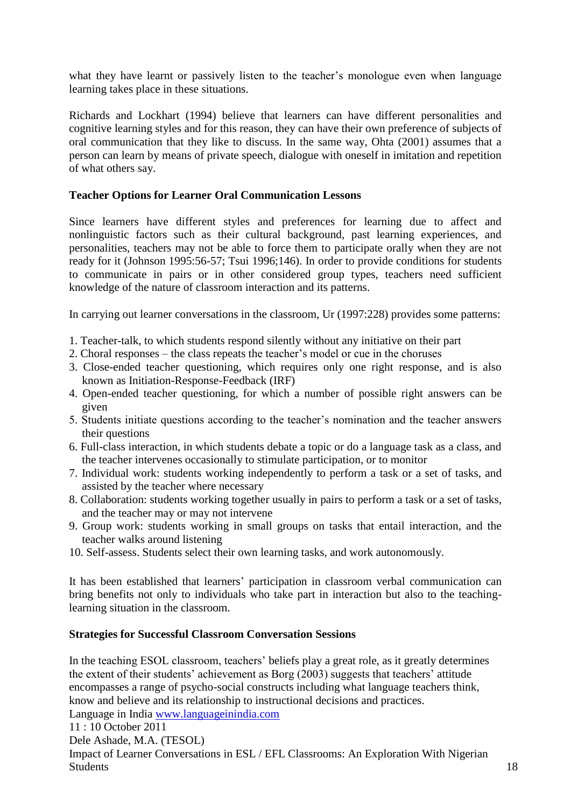what they have learnt or passively listen to the teacher's monologue even when language learning takes place in these situations.

Richards and Lockhart (1994) believe that learners can have different personalities and cognitive learning styles and for this reason, they can have their own preference of subjects of oral communication that they like to discuss. In the same way, Ohta (2001) assumes that a person can learn by means of private speech, dialogue with oneself in imitation and repetition of what others say.

#### **Teacher Options for Learner Oral Communication Lessons**

Since learners have different styles and preferences for learning due to affect and nonlinguistic factors such as their cultural background, past learning experiences, and personalities, teachers may not be able to force them to participate orally when they are not ready for it (Johnson 1995:56-57; Tsui 1996;146). In order to provide conditions for students to communicate in pairs or in other considered group types, teachers need sufficient knowledge of the nature of classroom interaction and its patterns.

In carrying out learner conversations in the classroom, Ur (1997:228) provides some patterns:

- 1. Teacher-talk, to which students respond silently without any initiative on their part
- 2. Choral responses the class repeats the teacher"s model or cue in the choruses
- 3. Close-ended teacher questioning, which requires only one right response, and is also known as Initiation-Response-Feedback (IRF)
- 4. Open-ended teacher questioning, for which a number of possible right answers can be given
- 5. Students initiate questions according to the teacher"s nomination and the teacher answers their questions
- 6. Full-class interaction, in which students debate a topic or do a language task as a class, and the teacher intervenes occasionally to stimulate participation, or to monitor
- 7. Individual work: students working independently to perform a task or a set of tasks, and assisted by the teacher where necessary
- 8. Collaboration: students working together usually in pairs to perform a task or a set of tasks, and the teacher may or may not intervene
- 9. Group work: students working in small groups on tasks that entail interaction, and the teacher walks around listening
- 10. Self-assess. Students select their own learning tasks, and work autonomously.

It has been established that learners" participation in classroom verbal communication can bring benefits not only to individuals who take part in interaction but also to the teachinglearning situation in the classroom.

#### **Strategies for Successful Classroom Conversation Sessions**

In the teaching ESOL classroom, teachers' beliefs play a great role, as it greatly determines the extent of their students' achievement as Borg (2003) suggests that teachers' attitude encompasses a range of psycho-social constructs including what language teachers think, know and believe and its relationship to instructional decisions and practices.

Language in India [www.languageinindia.com](http://www.languageinindia.com/)

Dele Ashade, M.A. (TESOL)

Impact of Learner Conversations in ESL / EFL Classrooms: An Exploration With Nigerian Students and the students of the students of the students of the students of the students of the students of the students of the students of the students of the students of the students of the students of the students of t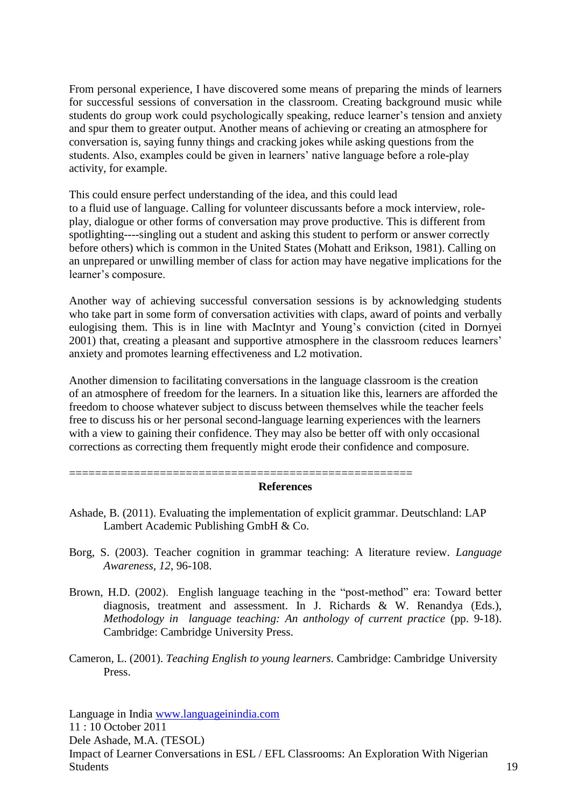From personal experience, I have discovered some means of preparing the minds of learners for successful sessions of conversation in the classroom. Creating background music while students do group work could psychologically speaking, reduce learner"s tension and anxiety and spur them to greater output. Another means of achieving or creating an atmosphere for conversation is, saying funny things and cracking jokes while asking questions from the students. Also, examples could be given in learners' native language before a role-play activity, for example.

This could ensure perfect understanding of the idea, and this could lead to a fluid use of language. Calling for volunteer discussants before a mock interview, roleplay, dialogue or other forms of conversation may prove productive. This is different from spotlighting----singling out a student and asking this student to perform or answer correctly before others) which is common in the United States (Mohatt and Erikson, 1981). Calling on an unprepared or unwilling member of class for action may have negative implications for the learner's composure.

Another way of achieving successful conversation sessions is by acknowledging students who take part in some form of conversation activities with claps, award of points and verbally eulogising them. This is in line with MacIntyr and Young"s conviction (cited in Dornyei 2001) that, creating a pleasant and supportive atmosphere in the classroom reduces learners" anxiety and promotes learning effectiveness and L2 motivation.

Another dimension to facilitating conversations in the language classroom is the creation of an atmosphere of freedom for the learners. In a situation like this, learners are afforded the freedom to choose whatever subject to discuss between themselves while the teacher feels free to discuss his or her personal second-language learning experiences with the learners with a view to gaining their confidence. They may also be better off with only occasional corrections as correcting them frequently might erode their confidence and composure.

#### **References**

Ashade, B. (2011). Evaluating the implementation of explicit grammar. Deutschland: LAP Lambert Academic Publishing GmbH & Co.

=====================================================

- Borg, S. (2003). Teacher cognition in grammar teaching: A literature review. *Language Awareness, 12*, 96-108.
- Brown, H.D. (2002). English language teaching in the "post-method" era: Toward better diagnosis, treatment and assessment. In J. Richards & W. Renandya (Eds.), *Methodology in language teaching: An anthology of current practice* (pp. 9-18). Cambridge: Cambridge University Press.
- Cameron, L. (2001). *Teaching English to young learners.* Cambridge: Cambridge University Press.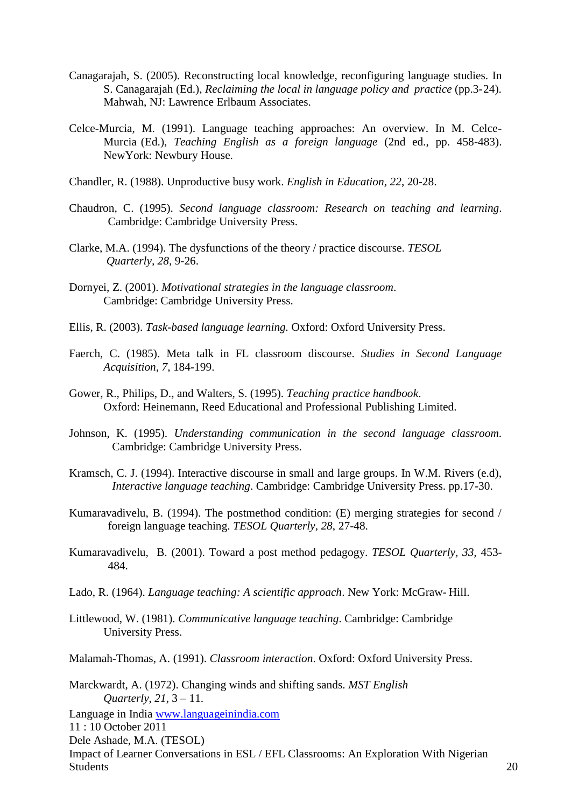- Canagarajah, S. (2005). Reconstructing local knowledge, reconfiguring language studies. In S. Canagarajah (Ed.), *Reclaiming the local in language policy and practice* (pp.3-24). Mahwah, NJ: Lawrence Erlbaum Associates.
- Celce-Murcia, M. (1991). Language teaching approaches: An overview. In M. Celce-Murcia (Ed.), *Teaching English as a foreign language* (2nd ed., pp. 458-483). NewYork: Newbury House.
- Chandler, R. (1988). Unproductive busy work. *English in Education, 22*, 20-28.
- Chaudron, C. (1995). *Second language classroom: Research on teaching and learning*. Cambridge: Cambridge University Press.
- Clarke, M.A. (1994). The dysfunctions of the theory / practice discourse. *TESOL Quarterly, 28,* 9-26.
- Dornyei, Z. (2001). *Motivational strategies in the language classroom*. Cambridge: Cambridge University Press.
- Ellis, R. (2003). *Task-based language learning.* Oxford: Oxford University Press.
- Faerch, C. (1985). Meta talk in FL classroom discourse. *Studies in Second Language Acquisition, 7*, 184-199.
- Gower, R., Philips, D., and Walters, S. (1995). *Teaching practice handbook*. Oxford: Heinemann, Reed Educational and Professional Publishing Limited.
- Johnson, K. (1995). *Understanding communication in the second language classroom*. Cambridge: Cambridge University Press.
- Kramsch, C. J. (1994). Interactive discourse in small and large groups. In W.M. Rivers (e.d), *Interactive language teaching*. Cambridge: Cambridge University Press. pp.17-30.
- Kumaravadivelu, B. (1994). The postmethod condition: (E) merging strategies for second / foreign language teaching. *TESOL Quarterly, 28*, 27-48.
- Kumaravadivelu, B. (2001). Toward a post method pedagogy. *TESOL Quarterly, 33,* 453- 484.
- Lado, R. (1964). *Language teaching: A scientific approach*. New York: McGraw- Hill.
- Littlewood, W. (1981). *Communicative language teaching*. Cambridge: Cambridge University Press.

Malamah-Thomas, A. (1991). *Classroom interaction*. Oxford: Oxford University Press.

Marckwardt, A. (1972). Changing winds and shifting sands. *MST English Quarterly*, *21,* 3 – 11.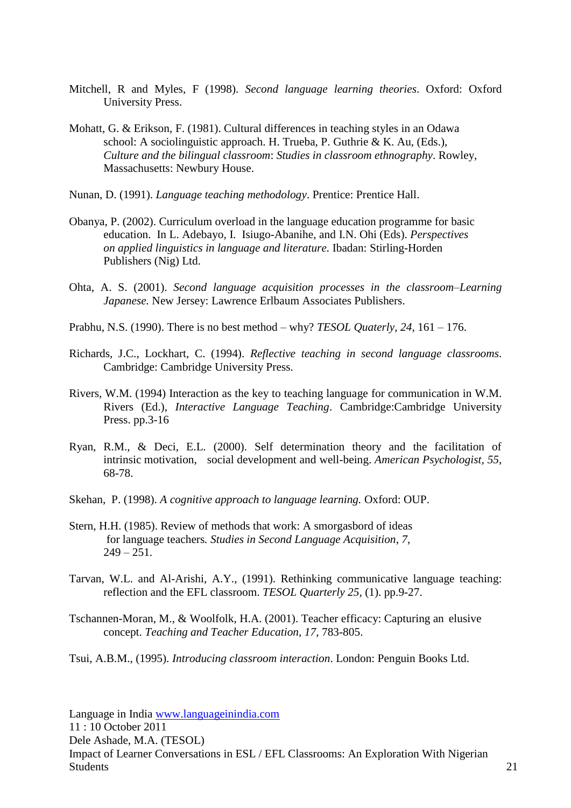- Mitchell, R and Myles, F (1998). *Second language learning theories*. Oxford: Oxford University Press.
- Mohatt, G. & Erikson, F. (1981). Cultural differences in teaching styles in an Odawa school: A sociolinguistic approach. H. Trueba, P. Guthrie & K. Au, (Eds.), *Culture and the bilingual classroom*: *Studies in classroom ethnography*. Rowley, Massachusetts: Newbury House.
- Nunan, D. (1991). *Language teaching methodology*. Prentice: Prentice Hall.
- Obanya, P. (2002). Curriculum overload in the language education programme for basic education. In L. Adebayo, I. Isiugo-Abanihe, and I.N. Ohi (Eds). *Perspectives on applied linguistics in language and literature.* Ibadan: Stirling-Horden Publishers (Nig) Ltd.
- Ohta, A. S. (2001). *Second language acquisition processes in the classroom–Learning Japanese.* New Jersey: Lawrence Erlbaum Associates Publishers.
- Prabhu, N.S. (1990). There is no best method why? *TESOL Quaterly*, *24,* 161 176.
- Richards, J.C., Lockhart, C. (1994). *Reflective teaching in second language classrooms*. Cambridge: Cambridge University Press.
- Rivers, W.M. (1994) Interaction as the key to teaching language for communication in W.M. Rivers (Ed.), *Interactive Language Teaching*. Cambridge:Cambridge University Press. pp.3-16
- Ryan, R.M., & Deci, E.L. (2000). Self determination theory and the facilitation of intrinsic motivation, social development and well-being. *American Psychologist, 55*, 68-78.
- Skehan, P. (1998). *A cognitive approach to language learning.* Oxford: OUP.
- Stern, H.H. (1985). Review of methods that work: A smorgasbord of ideas for language teachers*. Studies in Second Language Acquisition*, *7*,  $249 - 251$ .
- Tarvan, W.L. and Al-Arishi, A.Y., (1991). Rethinking communicative language teaching: reflection and the EFL classroom. *TESOL Quarterly 25,* (1). pp.9-27.
- Tschannen-Moran, M., & Woolfolk, H.A. (2001). Teacher efficacy: Capturing an elusive concept. *Teaching and Teacher Education, 17*, 783-805.

Tsui, A.B.M., (1995). *Introducing classroom interaction*. London: Penguin Books Ltd.